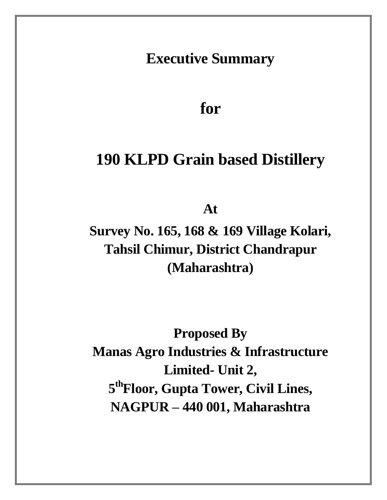**Executive Summary** 

**for**

# **190 KLPD Grain based Distillery**

**At** 

**Survey No. 165, 168 & 169 Village Kolari, Tahsil Chimur, District Chandrapur (Maharashtra)**

**Proposed By Manas Agro Industries & Infrastructure Limited- Unit 2, 5 thFloor, Gupta Tower, Civil Lines, NAGPUR – 440 001, Maharashtra**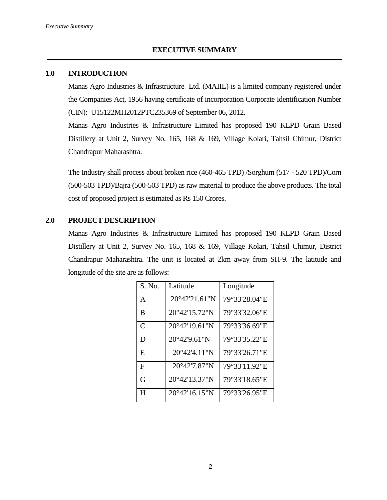#### **1.0 INTRODUCTION**

Manas Agro Industries & Infrastructure Ltd. (MAIIL) is a limited company registered under the Companies Act, 1956 having certificate of incorporation Corporate Identification Number (CIN): U15122MH2012PTC235369 of September 06, 2012.

Manas Agro Industries & Infrastructure Limited has proposed 190 KLPD Grain Based Distillery at Unit 2, Survey No. 165, 168 & 169, Village Kolari, Tahsil Chimur, District Chandrapur Maharashtra.

The Industry shall process about broken rice (460-465 TPD) /Sorghum (517 - 520 TPD)/Corn (500-503 TPD)/Bajra (500-503 TPD) as raw material to produce the above products. The total cost of proposed project is estimated as Rs 150 Crores.

#### **2.0 PROJECT DESCRIPTION**

Manas Agro Industries & Infrastructure Limited has proposed 190 KLPD Grain Based Distillery at Unit 2, Survey No. 165, 168 & 169, Village Kolari, Tahsil Chimur, District Chandrapur Maharashtra. The unit is located at 2km away from SH-9. The latitude and longitude of the site are as follows:

| S. No.        | Latitude                | Longitude     |
|---------------|-------------------------|---------------|
| A             | $20^{\circ}42'21.61''N$ | 79°33'28.04"E |
| B             | 20°42'15.72"N           | 79°33'32.06"E |
| $\mathcal{C}$ | $20^{\circ}42'19.61''N$ | 79°33'36.69"E |
| D             | 20°42'9.61"N            | 79°33'35.22"E |
| E             | $20^{\circ}42'4.11''N$  | 79°33'26.71"E |
| F             | $20^{\circ}42'7.87''N$  | 79°33'11.92"E |
| G             | 20°42'13.37"N           | 79°33'18.65"E |
| H             | $20^{\circ}42'16.15''N$ | 79°33'26.95"E |

2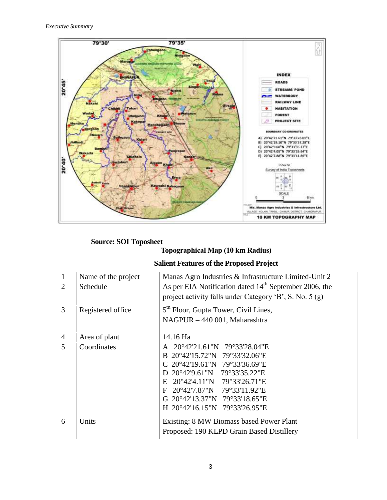

## **Source: SOI Toposheet**

## **Topographical Map (10 km Radius)**

## **Salient Features of the Proposed Project**

| $\mathbf{1}$<br>2 | Name of the project<br>Schedule | Manas Agro Industries & Infrastructure Limited-Unit 2<br>As per EIA Notification dated $14th$ September 2006, the<br>project activity falls under Category 'B', S. No. 5 (g)                                                                                                                  |  |  |
|-------------------|---------------------------------|-----------------------------------------------------------------------------------------------------------------------------------------------------------------------------------------------------------------------------------------------------------------------------------------------|--|--|
| 3                 | Registered office               | 5 <sup>th</sup> Floor, Gupta Tower, Civil Lines,<br>NAGPUR - 440 001, Maharashtra                                                                                                                                                                                                             |  |  |
| $\overline{4}$    | Area of plant                   | 14.16 Ha                                                                                                                                                                                                                                                                                      |  |  |
| 5                 | Coordinates                     | 20°42'21.61"N 79°33'28.04"E<br>A<br>B 20°42'15.72"N 79°33'32.06"E<br>$C$ 20°42'19.61"N 79°33'36.69"E<br>20°42'9.61"N 79°33'35.22"E<br>D<br>20°42'4.11"N 79°33'26.71"E<br>$E_{\rm c}$<br>20°42'7.87"N 79°33'11.92"E<br>F<br>20°42'13.37"N 79°33'18.65"E<br>G.<br>H 20°42'16.15"N 79°33'26.95"E |  |  |
| 6                 | Units                           | Existing: 8 MW Biomass based Power Plant<br>Proposed: 190 KLPD Grain Based Distillery                                                                                                                                                                                                         |  |  |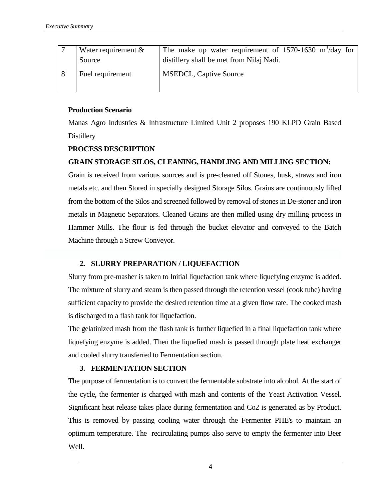| Water requirement $\&$<br>Source | The make up water requirement of 1570-1630 $\text{m}^3/\text{day}$ for<br>distillery shall be met from Nilaj Nadi. |
|----------------------------------|--------------------------------------------------------------------------------------------------------------------|
| Fuel requirement                 | <b>MSEDCL, Captive Source</b>                                                                                      |

#### **Production Scenario**

Manas Agro Industries & Infrastructure Limited Unit 2 proposes 190 KLPD Grain Based **Distillery** 

#### **PROCESS DESCRIPTION**

#### **GRAIN STORAGE SILOS, CLEANING, HANDLING AND MILLING SECTION:**

Grain is received from various sources and is pre-cleaned off Stones, husk, straws and iron metals etc. and then Stored in specially designed Storage Silos. Grains are continuously lifted from the bottom of the Silos and screened followed by removal of stones in De-stoner and iron metals in Magnetic Separators. Cleaned Grains are then milled using dry milling process in Hammer Mills. The flour is fed through the bucket elevator and conveyed to the Batch Machine through a Screw Conveyor.

#### **2. SLURRY PREPARATION / LIQUEFACTION**

Slurry from pre-masher is taken to Initial liquefaction tank where liquefying enzyme is added. The mixture of slurry and steam is then passed through the retention vessel (cook tube) having sufficient capacity to provide the desired retention time at a given flow rate. The cooked mash is discharged to a flash tank for liquefaction.

The gelatinized mash from the flash tank is further liquefied in a final liquefaction tank where liquefying enzyme is added. Then the liquefied mash is passed through plate heat exchanger and cooled slurry transferred to Fermentation section.

#### **3. FERMENTATION SECTION**

The purpose of fermentation is to convert the fermentable substrate into alcohol. At the start of the cycle, the fermenter is charged with mash and contents of the Yeast Activation Vessel. Significant heat release takes place during fermentation and Co2 is generated as by Product. This is removed by passing cooling water through the Fermenter PHE's to maintain an optimum temperature. The recirculating pumps also serve to empty the fermenter into Beer Well.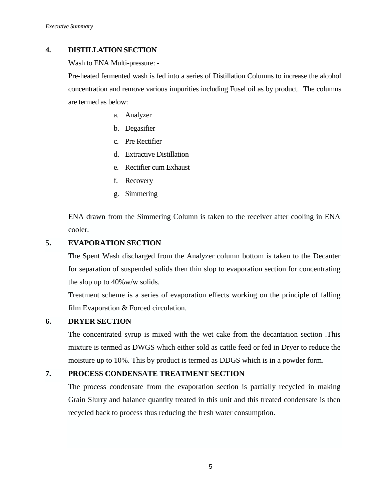#### **4. DISTILLATION SECTION**

Wash to ENA Multi-pressure: -

Pre-heated fermented wash is fed into a series of Distillation Columns to increase the alcohol concentration and remove various impurities including Fusel oil as by product. The columns are termed as below:

- a. Analyzer
- b. Degasifier
- c. Pre Rectifier
- d. Extractive Distillation
- e. Rectifier cum Exhaust
- f. Recovery
- g. Simmering

ENA drawn from the Simmering Column is taken to the receiver after cooling in ENA cooler.

#### **5. EVAPORATION SECTION**

The Spent Wash discharged from the Analyzer column bottom is taken to the Decanter for separation of suspended solids then thin slop to evaporation section for concentrating the slop up to 40%w/w solids.

Treatment scheme is a series of evaporation effects working on the principle of falling film Evaporation & Forced circulation.

#### **6. DRYER SECTION**

The concentrated syrup is mixed with the wet cake from the decantation section .This mixture is termed as DWGS which either sold as cattle feed or fed in Dryer to reduce the moisture up to 10%. This by product is termed as DDGS which is in a powder form.

#### **7. PROCESS CONDENSATE TREATMENT SECTION**

The process condensate from the evaporation section is partially recycled in making Grain Slurry and balance quantity treated in this unit and this treated condensate is then recycled back to process thus reducing the fresh water consumption.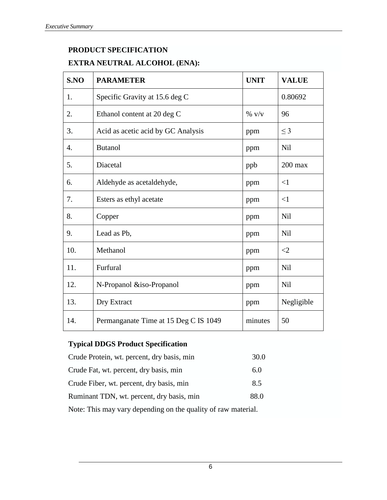## **PRODUCT SPECIFICATION EXTRA NEUTRAL ALCOHOL (ENA):**

| S.NO | <b>PARAMETER</b>                      | <b>UNIT</b> | <b>VALUE</b> |
|------|---------------------------------------|-------------|--------------|
| 1.   | Specific Gravity at 15.6 deg C        |             | 0.80692      |
| 2.   | Ethanol content at 20 deg C           | $\%$ v/v    | 96           |
| 3.   | Acid as acetic acid by GC Analysis    | ppm         | $\leq$ 3     |
| 4.   | <b>Butanol</b>                        | ppm         | Nil          |
| 5.   | Diacetal                              | ppb         | $200$ max    |
| 6.   | Aldehyde as acetaldehyde,             | ppm         | $\leq$ 1     |
| 7.   | Esters as ethyl acetate               | ppm         | <1           |
| 8.   | Copper                                | ppm         | Nil          |
| 9.   | Lead as Pb,                           | ppm         | Nil          |
| 10.  | Methanol                              | ppm         | $\leq$ 2     |
| 11.  | Furfural                              | ppm         | Nil          |
| 12.  | N-Propanol &iso-Propanol              | ppm         | Nil          |
| 13.  | Dry Extract                           | ppm         | Negligible   |
| 14.  | Permanganate Time at 15 Deg C IS 1049 | minutes     | 50           |

## **Typical DDGS Product Specification**

| Crude Protein, wt. percent, dry basis, min | 30.0 |
|--------------------------------------------|------|
| Crude Fat, wt. percent, dry basis, min     | 6.0  |
| Crude Fiber, wt. percent, dry basis, min   | 8.5  |
| Ruminant TDN, wt. percent, dry basis, min  | 88.0 |
|                                            |      |

Note: This may vary depending on the quality of raw material.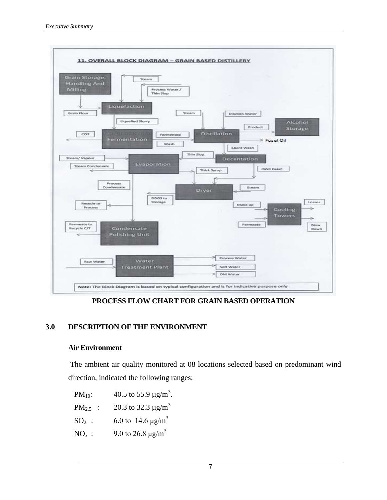

**PROCESS FLOW CHART FOR GRAIN BASED OPERATION**

#### **3.0 DESCRIPTION OF THE ENVIRONMENT**

#### **Air Environment**

The ambient air quality monitored at 08 locations selected based on predominant wind direction, indicated the following ranges;

PM<sub>10</sub>: 40.5 to 55.9  $\mu$ g/m<sup>3</sup>.

PM<sub>2.5</sub> : 20.3 to 32.3  $\mu$ g/m<sup>3</sup>

- $SO_2$  : 6.0 to 14.6  $\mu$ g/m<sup>3</sup>
- NO<sub>x</sub>: 9.0 to 26.8  $\mu$ g/m<sup>3</sup>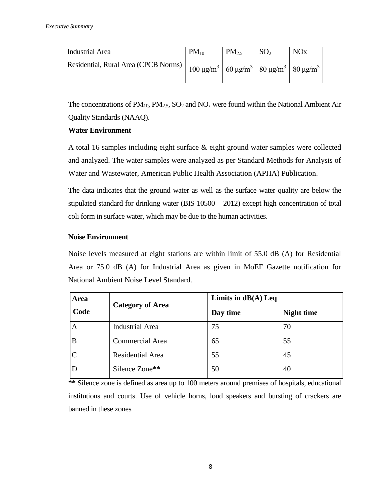| <b>Industrial Area</b>                        | $PM_{10}$                                                                                                  | PM <sub>25</sub> | SO <sub>2</sub> | <b>NO<sub>x</sub></b> |
|-----------------------------------------------|------------------------------------------------------------------------------------------------------------|------------------|-----------------|-----------------------|
| Residential, Rural Area (CPCB Norms) $\vdash$ | $\frac{100 \text{ }\mu\text{g/m}^3}{60 \text{ }\mu\text{g/m}^3}$ 80 $\mu\text{g/m}^3$ 80 $\mu\text{g/m}^3$ |                  |                 |                       |

The concentrations of  $PM_{10}$ ,  $PM_{2.5}$ ,  $SO_2$  and  $NO_x$  were found within the National Ambient Air Quality Standards (NAAQ).

#### **Water Environment**

A total 16 samples including eight surface & eight ground water samples were collected and analyzed. The water samples were analyzed as per Standard Methods for Analysis of Water and Wastewater, American Public Health Association (APHA) Publication.

The data indicates that the ground water as well as the surface water quality are below the stipulated standard for drinking water (BIS 10500 – 2012) except high concentration of total coli form in surface water, which may be due to the human activities.

#### **Noise Environment**

Noise levels measured at eight stations are within limit of 55.0 dB (A) for Residential Area or 75.0 dB (A) for Industrial Area as given in MoEF Gazette notification for National Ambient Noise Level Standard.

| <b>Area</b><br>Code | <b>Category of Area</b> | Limits in $dB(A)$ Leq |                   |  |
|---------------------|-------------------------|-----------------------|-------------------|--|
|                     |                         | Day time              | <b>Night time</b> |  |
| A                   | <b>Industrial Area</b>  | 75                    | 70                |  |
| В                   | <b>Commercial Area</b>  | 65                    | 55                |  |
|                     | Residential Area        | 55                    | 45                |  |
|                     | Silence Zone**          | 50                    | 40                |  |

**\*\*** Silence zone is defined as area up to 100 meters around premises of hospitals, educational institutions and courts. Use of vehicle horns, loud speakers and bursting of crackers are banned in these zones

8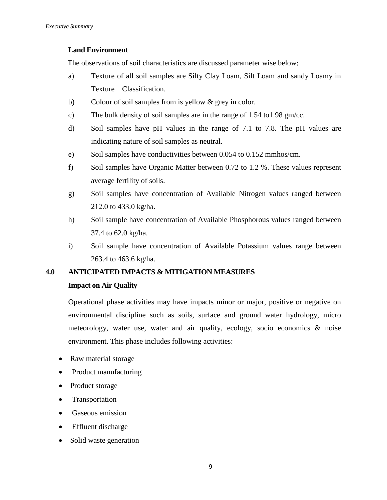#### **Land Environment**

The observations of soil characteristics are discussed parameter wise below;

- a) Texture of all soil samples are Silty Clay Loam, Silt Loam and sandy Loamy in Texture Classification.
- b) Colour of soil samples from is yellow & grey in color.
- c) The bulk density of soil samples are in the range of 1.54 to1.98 gm/cc.
- d) Soil samples have pH values in the range of 7.1 to 7.8. The pH values are indicating nature of soil samples as neutral.
- e) Soil samples have conductivities between 0.054 to 0.152 mmhos/cm.
- f) Soil samples have Organic Matter between 0.72 to 1.2 %. These values represent average fertility of soils.
- g) Soil samples have concentration of Available Nitrogen values ranged between 212.0 to 433.0 kg/ha.
- h) Soil sample have concentration of Available Phosphorous values ranged between 37.4 to 62.0 kg/ha.
- i) Soil sample have concentration of Available Potassium values range between 263.4 to 463.6 kg/ha.

#### **4.0 ANTICIPATED IMPACTS & MITIGATION MEASURES**

#### **Impact on Air Quality**

Operational phase activities may have impacts minor or major, positive or negative on environmental discipline such as soils, surface and ground water hydrology, micro meteorology, water use, water and air quality, ecology, socio economics & noise environment. This phase includes following activities:

- Raw material storage
- Product manufacturing
- Product storage
- Transportation
- Gaseous emission
- Effluent discharge
- Solid waste generation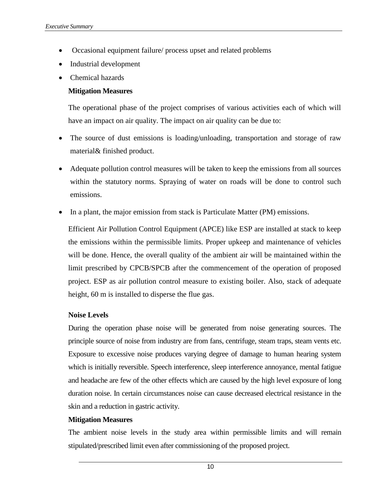- Occasional equipment failure/ process upset and related problems
- Industrial development
- Chemical hazards

#### **Mitigation Measures**

The operational phase of the project comprises of various activities each of which will have an impact on air quality. The impact on air quality can be due to:

- The source of dust emissions is loading/unloading, transportation and storage of raw material& finished product.
- Adequate pollution control measures will be taken to keep the emissions from all sources within the statutory norms. Spraying of water on roads will be done to control such emissions.
- In a plant, the major emission from stack is Particulate Matter (PM) emissions.

Efficient Air Pollution Control Equipment (APCE) like ESP are installed at stack to keep the emissions within the permissible limits. Proper upkeep and maintenance of vehicles will be done. Hence, the overall quality of the ambient air will be maintained within the limit prescribed by CPCB/SPCB after the commencement of the operation of proposed project. ESP as air pollution control measure to existing boiler. Also, stack of adequate height, 60 m is installed to disperse the flue gas.

#### **Noise Levels**

During the operation phase noise will be generated from noise generating sources. The principle source of noise from industry are from fans, centrifuge, steam traps, steam vents etc. Exposure to excessive noise produces varying degree of damage to human hearing system which is initially reversible. Speech interference, sleep interference annoyance, mental fatigue and headache are few of the other effects which are caused by the high level exposure of long duration noise. In certain circumstances noise can cause decreased electrical resistance in the skin and a reduction in gastric activity.

#### **Mitigation Measures**

The ambient noise levels in the study area within permissible limits and will remain stipulated/prescribed limit even after commissioning of the proposed project.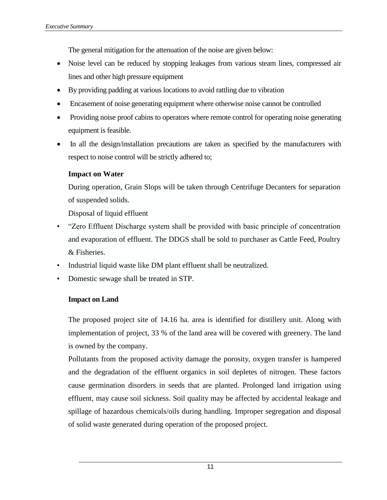The general mitigation for the attenuation of the noise are given below:

- Noise level can be reduced by stopping leakages from various steam lines, compressed air lines and other high pressure equipment
- By providing padding at various locations to avoid rattling due to vibration
- Encasement of noise generating equipment where otherwise noise cannot be controlled
- Providing noise proof cabins to operators where remote control for operating noise generating equipment is feasible.
- In all the design/installation precautions are taken as specified by the manufacturers with respect to noise control will be strictly adhered to;

#### **Impact on Water**

During operation, Grain Slops will be taken through Centrifuge Decanters for separation of suspended solids.

Disposal of liquid effluent

- "Zero Effluent Discharge system shall be provided with basic principle of concentration and evaporation of effluent. The DDGS shall be sold to purchaser as Cattle Feed, Poultry & Fisheries.
- Industrial liquid waste like DM plant effluent shall be neutralized.
- Domestic sewage shall be treated in STP.

#### **Impact on Land**

The proposed project site of 14.16 ha. area is identified for distillery unit. Along with implementation of project, 33 % of the land area will be covered with greenery. The land is owned by the company.

Pollutants from the proposed activity damage the porosity, oxygen transfer is hampered and the degradation of the effluent organics in soil depletes of nitrogen. These factors cause germination disorders in seeds that are planted. Prolonged land irrigation using effluent, may cause soil sickness. Soil quality may be affected by accidental leakage and spillage of hazardous chemicals/oils during handling. Improper segregation and disposal of solid waste generated during operation of the proposed project.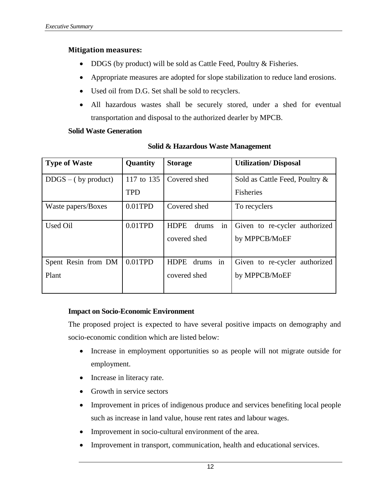#### **Mitigation measures:**

- DDGS (by product) will be sold as Cattle Feed, Poultry & Fisheries.
- Appropriate measures are adopted for slope stabilization to reduce land erosions.
- Used oil from D.G. Set shall be sold to recyclers.
- All hazardous wastes shall be securely stored, under a shed for eventual transportation and disposal to the authorized dearler by MPCB.

#### **Solid Waste Generation**

| <b>Type of Waste</b>  | Quantity   | <b>Storage</b>             | <b>Utilization/Disposal</b>    |
|-----------------------|------------|----------------------------|--------------------------------|
| $DDGS - (by product)$ | 117 to 135 | Covered shed               | Sold as Cattle Feed, Poultry & |
|                       | <b>TPD</b> |                            | <b>Fisheries</b>               |
| Waste papers/Boxes    | $0.01$ TPD | Covered shed               | To recyclers                   |
| Used Oil              | $0.01$ TPD | in<br><b>HDPE</b><br>drums | Given to re-cycler authorized  |
|                       |            | covered shed               | by MPPCB/MoEF                  |
| Spent Resin from DM   | $0.01$ TPD | in<br><b>HDPE</b><br>drums | Given to re-cycler authorized  |
| Plant                 |            | covered shed               | by MPPCB/MoEF                  |

#### **Solid & Hazardous Waste Management**

#### **Impact on Socio-Economic Environment**

The proposed project is expected to have several positive impacts on demography and socio-economic condition which are listed below:

- Increase in employment opportunities so as people will not migrate outside for employment.
- Increase in literacy rate.
- Growth in service sectors
- Improvement in prices of indigenous produce and services benefiting local people such as increase in land value, house rent rates and labour wages.
- Improvement in socio-cultural environment of the area.
- Improvement in transport, communication, health and educational services.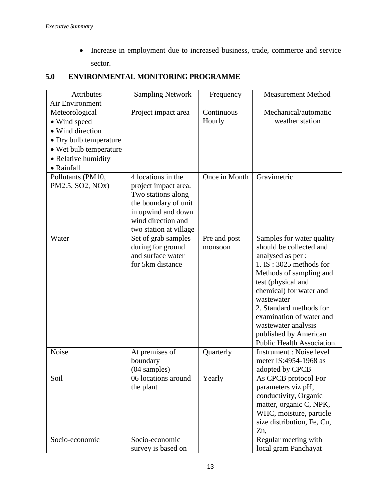Increase in employment due to increased business, trade, commerce and service sector.

#### **5.0 ENVIRONMENTAL MONITORING PROGRAMME**

| Attributes                    | <b>Sampling Network</b> | Frequency     | <b>Measurement Method</b>                    |
|-------------------------------|-------------------------|---------------|----------------------------------------------|
| Air Environment               |                         |               |                                              |
| Meteorological                | Project impact area     | Continuous    | Mechanical/automatic                         |
| • Wind speed                  |                         | Hourly        | weather station                              |
| • Wind direction              |                         |               |                                              |
| • Dry bulb temperature        |                         |               |                                              |
| • Wet bulb temperature        |                         |               |                                              |
| • Relative humidity           |                         |               |                                              |
| • Rainfall                    |                         |               |                                              |
| Pollutants (PM10,             | 4 locations in the      | Once in Month | Gravimetric                                  |
| PM2.5, SO2, NO <sub>x</sub> ) | project impact area.    |               |                                              |
|                               | Two stations along      |               |                                              |
|                               | the boundary of unit    |               |                                              |
|                               | in upwind and down      |               |                                              |
|                               | wind direction and      |               |                                              |
|                               | two station at village  |               |                                              |
| Water                         | Set of grab samples     | Pre and post  | Samples for water quality                    |
|                               | during for ground       | monsoon       | should be collected and                      |
|                               | and surface water       |               | analysed as per :                            |
|                               | for 5km distance        |               | $1. IS: 3025$ methods for                    |
|                               |                         |               | Methods of sampling and                      |
|                               |                         |               | test (physical and                           |
|                               |                         |               | chemical) for water and                      |
|                               |                         |               | wastewater<br>2. Standard methods for        |
|                               |                         |               | examination of water and                     |
|                               |                         |               |                                              |
|                               |                         |               | wastewater analysis<br>published by American |
|                               |                         |               | Public Health Association.                   |
| Noise                         | At premises of          | Quarterly     | Instrument : Noise level                     |
|                               | boundary                |               | meter IS:4954-1968 as                        |
|                               | (04 samples)            |               | adopted by CPCB                              |
| Soil                          | 06 locations around     | Yearly        | As CPCB protocol For                         |
|                               | the plant               |               | parameters viz pH,                           |
|                               |                         |               | conductivity, Organic                        |
|                               |                         |               | matter, organic C, NPK,                      |
|                               |                         |               | WHC, moisture, particle                      |
|                               |                         |               | size distribution, Fe, Cu,                   |
|                               |                         |               | Zn,                                          |
| Socio-economic                | Socio-economic          |               | Regular meeting with                         |
|                               | survey is based on      |               | local gram Panchayat                         |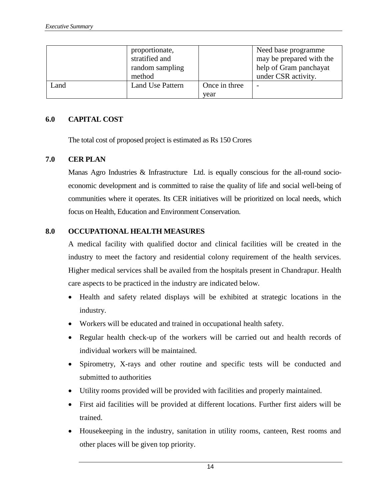|      | proportionate,<br>stratified and<br>random sampling<br>method |               | Need base programme<br>may be prepared with the<br>help of Gram panchayat<br>under CSR activity. |
|------|---------------------------------------------------------------|---------------|--------------------------------------------------------------------------------------------------|
| Land | <b>Land Use Pattern</b>                                       | Once in three | $\overline{\phantom{0}}$                                                                         |
|      |                                                               | year          |                                                                                                  |

#### **6.0 CAPITAL COST**

The total cost of proposed project is estimated as Rs 150 Crores

#### **7.0 CER PLAN**

Manas Agro Industries & Infrastructure Ltd. is equally conscious for the all-round socioeconomic development and is committed to raise the quality of life and social well-being of communities where it operates. Its CER initiatives will be prioritized on local needs, which focus on Health, Education and Environment Conservation.

#### **8.0 OCCUPATIONAL HEALTH MEASURES**

A medical facility with qualified doctor and clinical facilities will be created in the industry to meet the factory and residential colony requirement of the health services. Higher medical services shall be availed from the hospitals present in Chandrapur. Health care aspects to be practiced in the industry are indicated below.

- Health and safety related displays will be exhibited at strategic locations in the industry.
- Workers will be educated and trained in occupational health safety.
- Regular health check-up of the workers will be carried out and health records of individual workers will be maintained.
- Spirometry, X-rays and other routine and specific tests will be conducted and submitted to authorities
- Utility rooms provided will be provided with facilities and properly maintained.
- First aid facilities will be provided at different locations. Further first aiders will be trained.
- Housekeeping in the industry, sanitation in utility rooms, canteen, Rest rooms and other places will be given top priority.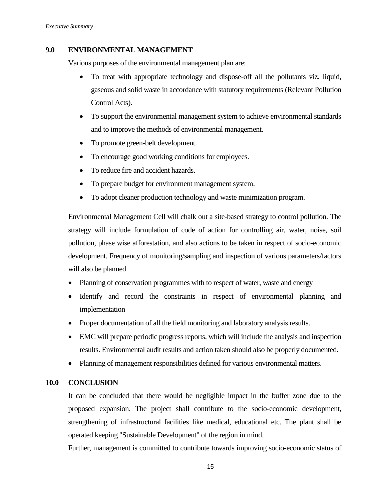#### **9.0 ENVIRONMENTAL MANAGEMENT**

Various purposes of the environmental management plan are:

- To treat with appropriate technology and dispose-off all the pollutants viz. liquid, gaseous and solid waste in accordance with statutory requirements (Relevant Pollution Control Acts).
- To support the environmental management system to achieve environmental standards and to improve the methods of environmental management.
- To promote green-belt development.
- To encourage good working conditions for employees.
- To reduce fire and accident hazards.
- To prepare budget for environment management system.
- To adopt cleaner production technology and waste minimization program.

Environmental Management Cell will chalk out a site-based strategy to control pollution. The strategy will include formulation of code of action for controlling air, water, noise, soil pollution, phase wise afforestation, and also actions to be taken in respect of socio-economic development. Frequency of monitoring/sampling and inspection of various parameters/factors will also be planned.

- Planning of conservation programmes with to respect of water, waste and energy
- Identify and record the constraints in respect of environmental planning and implementation
- Proper documentation of all the field monitoring and laboratory analysis results.
- EMC will prepare periodic progress reports, which will include the analysis and inspection results. Environmental audit results and action taken should also be properly documented.
- Planning of management responsibilities defined for various environmental matters.

#### **10.0 CONCLUSION**

It can be concluded that there would be negligible impact in the buffer zone due to the proposed expansion. The project shall contribute to the socio-economic development, strengthening of infrastructural facilities like medical, educational etc. The plant shall be operated keeping "Sustainable Development" of the region in mind.

Further, management is committed to contribute towards improving socio-economic status of